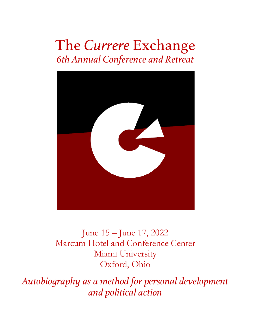# The *Currere* Exchange *6th Annual Conference and Retreat*



June 15 – June 17, 2022 Marcum Hotel and Conference Center Miami University Oxford, Ohio

*Autobiography as a method for personal development and political action*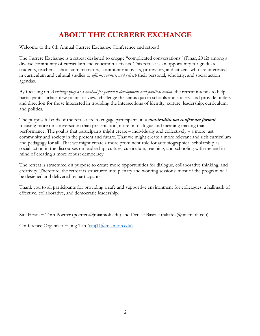# **ABOUT THE CURRERE EXCHANGE**

Welcome to the 6th Annual Currere Exchange Conference and retreat!

The Currere Exchange is a retreat designed to engage "complicated conversations" (Pinar, 2012) among a diverse community of curriculum and education activists. This retreat is an opportunity for graduate students, teachers, school administrators, community activists, professors, and citizens who are interested in curriculum and cultural studies to *affirm, connect, and refresh* their personal, scholarly, and social action agendas.

By focusing on *Autobiography as a method for personal development and political action*, the retreat intends to help participants surface new points of view, challenge the status quo in schools and society, and provide outlets and direction for those interested in troubling the intersections of identity, culture, leadership, curriculum, and politics.

The purposeful ends of the retreat are to engage participants in a *non-traditional conference format* focusing more on conversation than presentation, more on dialogue and meaning making than performance. The goal is that participants might create – individually and collectively – a more just community and society in the present and future. That we might create a more relevant and rich curriculum and pedagogy for all. That we might create a more prominent role for autobiographical scholarship as social action in the discourses on leadership, culture, curriculum, teaching, and schooling with the end in mind of creating a more robust democracy.

The retreat is structured on purpose to create more opportunities for dialogue, collaborative thinking, and creativity. Therefore, the retreat is structured into plenary and working sessions; most of the program will be designed and delivered by participants.

Thank you to all participants for providing a safe and supportive environment for colleagues, a hallmark of effective, collaborative, and democratic leadership.

Site Hosts ~ Tom Poetter (poettets@miamioh.edu) and Denise Baszile (taliafda@miamioh.edu)

Conference Organizer ~ Jing Tan  $(\underline{tan}11\textcircled{a}$ miamioh.edu)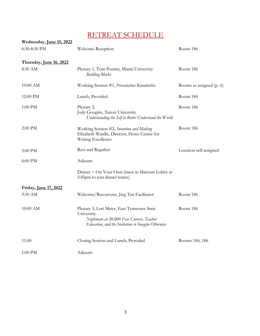# RETREAT SCHEDULE

| Wednesday, June 15, 2022 |                                                                                                                                                                           |                          |  |
|--------------------------|---------------------------------------------------------------------------------------------------------------------------------------------------------------------------|--------------------------|--|
| 6:30-8:30 PM             | Welcome Reception                                                                                                                                                         | Room 186                 |  |
| Thursday, June 16, 2022  |                                                                                                                                                                           |                          |  |
| 8:30 AM                  | Plenary 1, Tom Poetter, Miami University<br><b>Building Blocks</b>                                                                                                        | Room 186                 |  |
| 10:00 AM                 | Working Session #1, Presentation Roundtables                                                                                                                              | Rooms as assigned (p. 6) |  |
| 12:00 PM                 | Lunch, Provided                                                                                                                                                           | Room 184                 |  |
| $1:00$ PM $\,$           | Plenary 2,<br>Room 186<br>Jody Googins, Xaiver University<br>Understanding the Self to Better Understand the World                                                        |                          |  |
| 2:00 PM                  | Room 186<br>Working Session #2, Invention and Making<br>Elizabeth Wardle, Director, Howe Center for<br>Writing Excellence                                                 |                          |  |
| 5:00 PM                  | Rest and Regather                                                                                                                                                         | Location self-assigned   |  |
| 6:00 PM                  | Adjourn                                                                                                                                                                   |                          |  |
|                          | Dinner $\sim$ On Your Own (meet in Marcum Lobby at<br>5:45pm to join dinner teams)                                                                                        |                          |  |
| Friday, June 17, 2022    |                                                                                                                                                                           |                          |  |
| 9:30 AM                  | Welcome/Reconvene, Jing Tan Facilitator<br>Room 186                                                                                                                       |                          |  |
| 10:00 AM                 | Room 186<br>Plenary 3, Lori Meier, East Tennessee State<br>University<br>Nightmare at 20,000 Feet: Currere, Teacher<br>Education, and the Invitation to Imagine Otherwise |                          |  |
| 11:00                    | Closing Session and Lunch, Provided                                                                                                                                       | Rooms 184, 186           |  |
| $1:00$ PM $\,$           | Adjourn                                                                                                                                                                   |                          |  |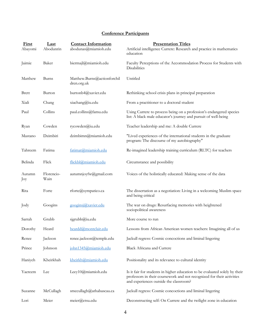## **Conference Participants**

| First<br>Abayomi | Last<br>Abodunrin  | <b>Contact Information</b><br>abodunas@miamioh.edu | <b>Presentation Titles</b><br>Artificial intelligence Currere: Research and practice in mathematics<br>education                                                                                |
|------------------|--------------------|----------------------------------------------------|-------------------------------------------------------------------------------------------------------------------------------------------------------------------------------------------------|
| Jaimie           | Baker              | biermajl@miamioh.edu                               | Faculty Perceptions of the Accommodation Process for Students with<br><b>Disabilities</b>                                                                                                       |
| Matthew          | Burns              | Matthew.Burns@actionforchil<br>dren.org.uk         | Untitled                                                                                                                                                                                        |
| <b>Brett</b>     | Burton             | burtonb4@xavier.edu                                | Rethinking school crisis plans in principal preparation                                                                                                                                         |
| Xiali            | Chang              | xiachang@iu.edu                                    | From a practitioner to a doctoral student                                                                                                                                                       |
| Paul             | Collins            | paul.collins@famu.edu                              | Using Currere to process being on a profession's endangered species<br>list: A black male educator's journey and pursuit of well-being                                                          |
| Ryan             | Cowden             | rycowden@iu.edu                                    | Teacher leadership and me: A double Currere                                                                                                                                                     |
| Mastano          | Dzimbiri           | dzimbimn@miamioh.edu                               | "Lived experiences of the international students in the graduate<br>program: The discourse of my autobiography"                                                                                 |
| Tahreem          | Fatima             | fatimat@miamioh.edu                                | Re-imagined leadership training curriculum (RLTC) for teachers                                                                                                                                  |
| Belinda          | Flick              | flickbl@miamioh.edu                                | Circumstance and possibility                                                                                                                                                                    |
| Autumn<br>Joy    | Florencio-<br>Wain | autumnjoyfw@gmail.com                              | Voices of the holistically educated: Making sense of the data                                                                                                                                   |
| Rita             | Forte              | rforte@sympatico.ca                                | The dissertation as a negotiation: Living in a welcoming Muslim space<br>and being critical                                                                                                     |
| Jody             | Googins            | googinsj@xavier.edu                                | The war on drugs: Resurfacing memories with heightened<br>sociopolitical awareness                                                                                                              |
| Sarrah           | Grubb              | sigrubb@iu.edu                                     | More course to run                                                                                                                                                                              |
| Dorothy          | Heard              | heardd@montclair.edu                               | Lessons from African American women teachers: Imagining all of us                                                                                                                               |
| Renee            | Jackson            | renee.jackson@temple.edu                           | Jackull regress: Cosmic concoctions and liminal lingering                                                                                                                                       |
| Prince           | Johnson            | john1345@miamioh.edu                               | Black Africana and Currere                                                                                                                                                                      |
| Haniyeh          | Kheirkhah          | kheirkh@miamioh.edu                                | Positionality and its relevance to cultural identity                                                                                                                                            |
| Yaereem          | Lee                | Leey10@miamioh.edu                                 | Is it fair for students in higher education to be evaluated solely by their<br>professors in their coursework and not recognized for their activities<br>and experiences outside the classroom? |
| Suzanne          | McCullagh          | smccullagh@athabascau.ca                           | Jackull regress: Cosmic concoctions and liminal lingering                                                                                                                                       |
| Lori             | Meier              | meier@etsu.edu                                     | Deconstructing self: On Currere and the twilight zone in education                                                                                                                              |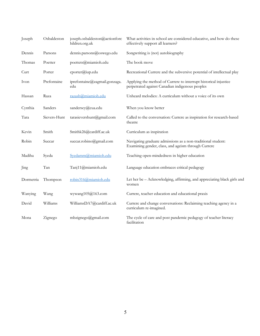| Joseph    | Osbaldeston  | joseph.osbaldeston@actionforc<br>hildren.org.uk | What activities in school are considered educative, and how do these<br>effectively support all learners?           |
|-----------|--------------|-------------------------------------------------|---------------------------------------------------------------------------------------------------------------------|
| Dennis    | Parsons      | dennis.parsons@oswego.edu                       | Songwriting is (not) autobiography                                                                                  |
| Thomas    | Poetter      | poettets@miamioh.edu                            | The book move                                                                                                       |
| Curt      | Porter       | cporter@iup.edu                                 | Recreational Currere and the subversive potential of intellectual play                                              |
| Ivon      | Prefontaine  | iprefontaine@zagmail.gonzaga.<br>edu            | Applying the method of Currere to interrupt historical injustice<br>perpetrated against Canadian indigenous peoples |
| Hassan    | Raza         | razash@miamioh.edu                              | Unheard melodies: A curriculum without a voice of its own                                                           |
| Cynthia   | Sanders      | sanderscy@cua.edu                               | When you know better                                                                                                |
| Tara      | Sievers-Hunt | tarasievershunt@gmail.com                       | Called to the conversation: Currere as inspiration for research-based<br>theatre                                    |
| Kevin     | Smith        | Smithk26@cardiff.ac.uk                          | Curriculum as inspiration                                                                                           |
| Robin     | Succar       | succar.robino@gmail.com                         | Navigating graduate admissions as a non-traditional student:<br>Examining gender, class, and ageism through Currere |
| Madiha    | Syeda        | Syedamm@miamioh.edu                             | Teaching open-mindedness in higher education                                                                        |
| Jing      | Tan          | Tanj11@miamioh.edu                              | Language education embraces critical pedagogy                                                                       |
| Dormetria | Thompson     | robin316@miamioh.edu                            | Let her be - Acknowledging, affirming, and appreciating black girls and<br>women                                    |
| Wanying   | Wang         | wywang105@163.com                               | Currere, teacher education and educational praxis                                                                   |
| David     | Williams     | WilliamsDA7@cardiff.ac.uk                       | Currere and change conversations: Reclaiming teaching agency in a<br>curriculum re-imagined.                        |
| Mona      | Zignego      | mbzignego@gmail.com                             | The cycle of care and post pandemic pedagogy of teacher literacy<br>facilitation                                    |